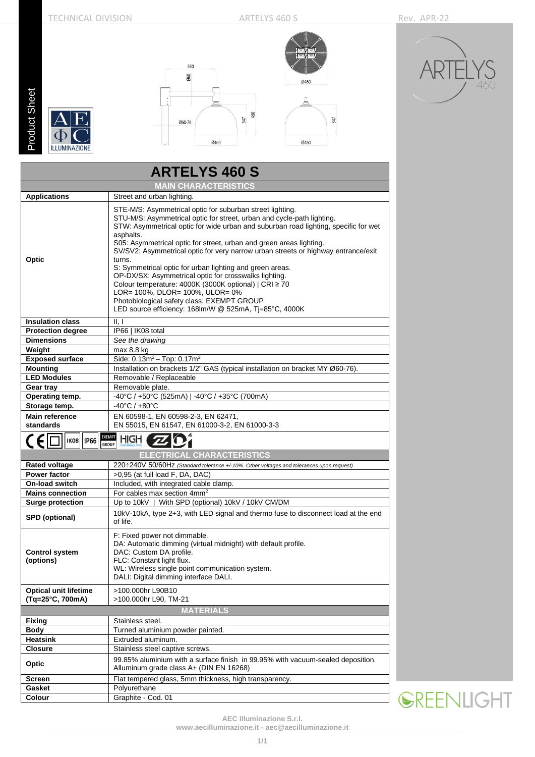**Product Sheet** Product Sheet









|                                                                     | <b>ARTELYS 460 S</b>                                                                                                                                                                                                                                                                                                                                                                                                                                                                                                                                                                                                                                                                                                                   |  |  |  |  |  |  |
|---------------------------------------------------------------------|----------------------------------------------------------------------------------------------------------------------------------------------------------------------------------------------------------------------------------------------------------------------------------------------------------------------------------------------------------------------------------------------------------------------------------------------------------------------------------------------------------------------------------------------------------------------------------------------------------------------------------------------------------------------------------------------------------------------------------------|--|--|--|--|--|--|
| <b>MAIN CHARACTERISTICS</b>                                         |                                                                                                                                                                                                                                                                                                                                                                                                                                                                                                                                                                                                                                                                                                                                        |  |  |  |  |  |  |
| <b>Applications</b>                                                 | Street and urban lighting.                                                                                                                                                                                                                                                                                                                                                                                                                                                                                                                                                                                                                                                                                                             |  |  |  |  |  |  |
| Optic                                                               | STE-M/S: Asymmetrical optic for suburban street lighting.<br>STU-M/S: Asymmetrical optic for street, urban and cycle-path lighting.<br>STW: Asymmetrical optic for wide urban and suburban road lighting, specific for wet<br>asphalts.<br>S05: Asymmetrical optic for street, urban and green areas lighting.<br>SV/SV2: Asymmetrical optic for very narrow urban streets or highway entrance/exit<br>turns.<br>S: Symmetrical optic for urban lighting and green areas.<br>OP-DX/SX: Asymmetrical optic for crosswalks lighting.<br>Colour temperature: 4000K (3000K optional)   CRI ≥ 70<br>LOR= 100%, DLOR= 100%, ULOR= 0%<br>Photobiological safety class: EXEMPT GROUP<br>LED source efficiency: 168lm/W @ 525mA, Tj=85°C, 4000K |  |  |  |  |  |  |
| <b>Insulation class</b>                                             | II, I                                                                                                                                                                                                                                                                                                                                                                                                                                                                                                                                                                                                                                                                                                                                  |  |  |  |  |  |  |
| <b>Protection degree</b>                                            | IP66   IK08 total                                                                                                                                                                                                                                                                                                                                                                                                                                                                                                                                                                                                                                                                                                                      |  |  |  |  |  |  |
| <b>Dimensions</b>                                                   | See the drawing                                                                                                                                                                                                                                                                                                                                                                                                                                                                                                                                                                                                                                                                                                                        |  |  |  |  |  |  |
| Weight                                                              | max 8.8 kg                                                                                                                                                                                                                                                                                                                                                                                                                                                                                                                                                                                                                                                                                                                             |  |  |  |  |  |  |
| <b>Exposed surface</b>                                              | Side: $0.13m^2 - Top: 0.17m^2$                                                                                                                                                                                                                                                                                                                                                                                                                                                                                                                                                                                                                                                                                                         |  |  |  |  |  |  |
| Mounting                                                            | Installation on brackets 1/2" GAS (typical installation on bracket MY Ø60-76).                                                                                                                                                                                                                                                                                                                                                                                                                                                                                                                                                                                                                                                         |  |  |  |  |  |  |
| <b>LED Modules</b>                                                  | Removable / Replaceable                                                                                                                                                                                                                                                                                                                                                                                                                                                                                                                                                                                                                                                                                                                |  |  |  |  |  |  |
| Gear tray                                                           | Removable plate.                                                                                                                                                                                                                                                                                                                                                                                                                                                                                                                                                                                                                                                                                                                       |  |  |  |  |  |  |
| Operating temp.                                                     | -40°C / +50°C (525mA)   -40°C / +35°C (700mA)                                                                                                                                                                                                                                                                                                                                                                                                                                                                                                                                                                                                                                                                                          |  |  |  |  |  |  |
| Storage temp.                                                       | $-40^{\circ}$ C / $+80^{\circ}$ C                                                                                                                                                                                                                                                                                                                                                                                                                                                                                                                                                                                                                                                                                                      |  |  |  |  |  |  |
| <b>Main reference</b><br>standards                                  | EN 60598-1, EN 60598-2-3, EN 62471,<br>EN 55015, EN 61547, EN 61000-3-2, EN 61000-3-3                                                                                                                                                                                                                                                                                                                                                                                                                                                                                                                                                                                                                                                  |  |  |  |  |  |  |
| <b>EXEMPT</b><br>HIGH<br><b>IK08</b><br><b>IP66</b><br><b>GROUP</b> |                                                                                                                                                                                                                                                                                                                                                                                                                                                                                                                                                                                                                                                                                                                                        |  |  |  |  |  |  |
|                                                                     | <b>ELECTRICAL CHARACTERISTICS</b>                                                                                                                                                                                                                                                                                                                                                                                                                                                                                                                                                                                                                                                                                                      |  |  |  |  |  |  |
| <b>Rated voltage</b>                                                | 220÷240V 50/60Hz (Standard tolerance +/-10%. Other voltages and tolerances upon request)                                                                                                                                                                                                                                                                                                                                                                                                                                                                                                                                                                                                                                               |  |  |  |  |  |  |
| <b>Power factor</b>                                                 | >0,95 (at full load F, DA, DAC)                                                                                                                                                                                                                                                                                                                                                                                                                                                                                                                                                                                                                                                                                                        |  |  |  |  |  |  |
| On-load switch                                                      | Included, with integrated cable clamp.                                                                                                                                                                                                                                                                                                                                                                                                                                                                                                                                                                                                                                                                                                 |  |  |  |  |  |  |
| <b>Mains connection</b>                                             | For cables max section 4mm <sup>2</sup>                                                                                                                                                                                                                                                                                                                                                                                                                                                                                                                                                                                                                                                                                                |  |  |  |  |  |  |
| Surge protection                                                    | Up to $10kV$<br>With SPD (optional) 10kV / 10kV CM/DM                                                                                                                                                                                                                                                                                                                                                                                                                                                                                                                                                                                                                                                                                  |  |  |  |  |  |  |
| SPD (optional)                                                      | 10kV-10kA, type 2+3, with LED signal and thermo fuse to disconnect load at the end<br>of life.                                                                                                                                                                                                                                                                                                                                                                                                                                                                                                                                                                                                                                         |  |  |  |  |  |  |
| <b>Control system</b><br>(options)                                  | F: Fixed power not dimmable.<br>DA: Automatic dimming (virtual midnight) with default profile.<br>DAC: Custom DA profile.<br>FLC: Constant light flux.<br>WL: Wireless single point communication system.<br>DALI: Digital dimming interface DALI.                                                                                                                                                                                                                                                                                                                                                                                                                                                                                     |  |  |  |  |  |  |
| <b>Optical unit lifetime</b><br>(Tg=25°C, 700mA)                    | >100.000hr L90B10<br>>100.000hr L90, TM-21                                                                                                                                                                                                                                                                                                                                                                                                                                                                                                                                                                                                                                                                                             |  |  |  |  |  |  |
|                                                                     | <b>MATERIALS</b>                                                                                                                                                                                                                                                                                                                                                                                                                                                                                                                                                                                                                                                                                                                       |  |  |  |  |  |  |
| <b>Fixing</b>                                                       | Stainless steel.                                                                                                                                                                                                                                                                                                                                                                                                                                                                                                                                                                                                                                                                                                                       |  |  |  |  |  |  |
| Body                                                                | Turned aluminium powder painted.                                                                                                                                                                                                                                                                                                                                                                                                                                                                                                                                                                                                                                                                                                       |  |  |  |  |  |  |
| <b>Heatsink</b>                                                     | Extruded aluminum.                                                                                                                                                                                                                                                                                                                                                                                                                                                                                                                                                                                                                                                                                                                     |  |  |  |  |  |  |
| <b>Closure</b>                                                      | Stainless steel captive screws.                                                                                                                                                                                                                                                                                                                                                                                                                                                                                                                                                                                                                                                                                                        |  |  |  |  |  |  |
| Optic                                                               | 99.85% aluminium with a surface finish in 99.95% with vacuum-sealed deposition.<br>Alluminum grade class A+ (DIN EN 16268)                                                                                                                                                                                                                                                                                                                                                                                                                                                                                                                                                                                                             |  |  |  |  |  |  |
| Screen                                                              | Flat tempered glass, 5mm thickness, high transparency.                                                                                                                                                                                                                                                                                                                                                                                                                                                                                                                                                                                                                                                                                 |  |  |  |  |  |  |
| Gasket                                                              | Polyurethane                                                                                                                                                                                                                                                                                                                                                                                                                                                                                                                                                                                                                                                                                                                           |  |  |  |  |  |  |
| Colour                                                              | Graphite - Cod. 01                                                                                                                                                                                                                                                                                                                                                                                                                                                                                                                                                                                                                                                                                                                     |  |  |  |  |  |  |

**SREENLIGHT** 

**AEC Illuminazione S.r.l.**

**[www.aecilluminazione.it](http://www.aecilluminazione.it/) - [aec@aecilluminazione.it](mailto:aec@aecilluminazione.it)**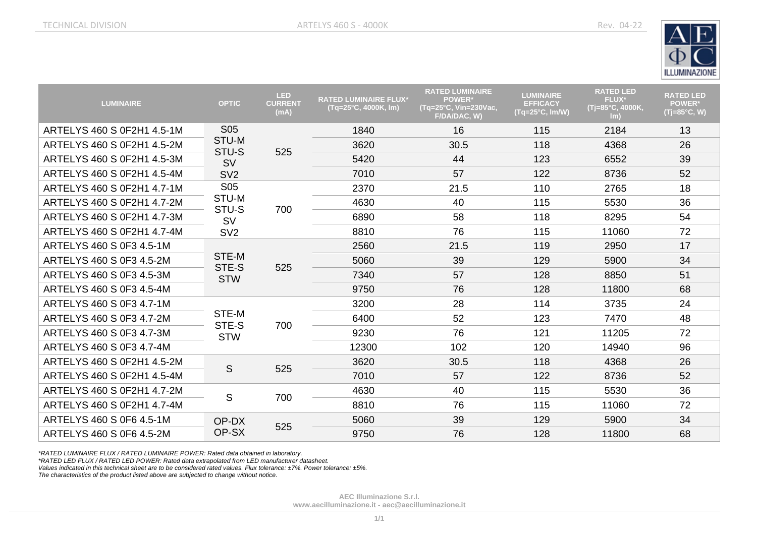

| <b>LUMINAIRE</b>           | <b>OPTIC</b>                 | <b>LED</b><br><b>CURRENT</b><br>(mA) | <b>RATED LUMINAIRE FLUX*</b><br>(Tq=25°C, 4000K, lm) | <b>RATED LUMINAIRE</b><br><b>POWER*</b><br>(Tq=25°C, Vin=230Vac,<br>F/DA/DAC, W) | <b>LUMINAIRE</b><br><b>EFFICACY</b><br>$(Tq=25^{\circ}C, Im/W)$ | <b>RATED LED</b><br><b>FLUX*</b><br>(Tj=85°C, 4000K,<br>Im) | <b>RATED LED</b><br><b>POWER*</b><br>$(Tj=85^{\circ}C, W)$ |
|----------------------------|------------------------------|--------------------------------------|------------------------------------------------------|----------------------------------------------------------------------------------|-----------------------------------------------------------------|-------------------------------------------------------------|------------------------------------------------------------|
| ARTELYS 460 S 0F2H1 4.5-1M | <b>S05</b>                   | 525                                  | 1840                                                 | 16                                                                               | 115                                                             | 2184                                                        | 13                                                         |
| ARTELYS 460 S 0F2H1 4.5-2M | STU-M<br>STU-S               |                                      | 3620                                                 | 30.5                                                                             | 118                                                             | 4368                                                        | 26                                                         |
| ARTELYS 460 S 0F2H1 4.5-3M | <b>SV</b>                    |                                      | 5420                                                 | 44                                                                               | 123                                                             | 6552                                                        | 39                                                         |
| ARTELYS 460 S 0F2H1 4.5-4M | SV <sub>2</sub>              |                                      | 7010                                                 | 57                                                                               | 122                                                             | 8736                                                        | 52                                                         |
| ARTELYS 460 S 0F2H1 4.7-1M | <b>S05</b>                   | 700                                  | 2370                                                 | 21.5                                                                             | 110                                                             | 2765                                                        | 18                                                         |
| ARTELYS 460 S 0F2H1 4.7-2M | STU-M<br>STU-S<br><b>SV</b>  |                                      | 4630                                                 | 40                                                                               | 115                                                             | 5530                                                        | 36                                                         |
| ARTELYS 460 S 0F2H1 4.7-3M |                              |                                      | 6890                                                 | 58                                                                               | 118                                                             | 8295                                                        | 54                                                         |
| ARTELYS 460 S 0F2H1 4.7-4M | SV <sub>2</sub>              |                                      | 8810                                                 | 76                                                                               | 115                                                             | 11060                                                       | 72                                                         |
| ARTELYS 460 S 0F3 4.5-1M   |                              | 525                                  | 2560                                                 | 21.5                                                                             | 119                                                             | 2950                                                        | 17                                                         |
| ARTELYS 460 S 0F3 4.5-2M   | STE-M<br>STE-S               |                                      | 5060                                                 | 39                                                                               | 129                                                             | 5900                                                        | 34                                                         |
| ARTELYS 460 S 0F3 4.5-3M   | <b>STW</b>                   |                                      | 7340                                                 | 57                                                                               | 128                                                             | 8850                                                        | 51                                                         |
| ARTELYS 460 S 0F3 4.5-4M   |                              |                                      | 9750                                                 | 76                                                                               | 128                                                             | 11800                                                       | 68                                                         |
| ARTELYS 460 S 0F3 4.7-1M   |                              | 700                                  | 3200                                                 | 28                                                                               | 114                                                             | 3735                                                        | 24                                                         |
| ARTELYS 460 S 0F3 4.7-2M   | STE-M<br>STE-S<br><b>STW</b> |                                      | 6400                                                 | 52                                                                               | 123                                                             | 7470                                                        | 48                                                         |
| ARTELYS 460 S 0F3 4.7-3M   |                              |                                      | 9230                                                 | 76                                                                               | 121                                                             | 11205                                                       | 72                                                         |
| ARTELYS 460 S 0F3 4.7-4M   |                              |                                      | 12300                                                | 102                                                                              | 120                                                             | 14940                                                       | 96                                                         |
| ARTELYS 460 S 0F2H1 4.5-2M |                              | 525                                  | 3620                                                 | 30.5                                                                             | 118                                                             | 4368                                                        | 26                                                         |
| ARTELYS 460 S 0F2H1 4.5-4M | S                            |                                      | 7010                                                 | 57                                                                               | 122                                                             | 8736                                                        | 52                                                         |
| ARTELYS 460 S 0F2H1 4.7-2M | S                            | 700                                  | 4630                                                 | 40                                                                               | 115                                                             | 5530                                                        | 36                                                         |
| ARTELYS 460 S 0F2H1 4.7-4M |                              |                                      | 8810                                                 | 76                                                                               | 115                                                             | 11060                                                       | 72                                                         |
| ARTELYS 460 S 0F6 4.5-1M   | OP-DX                        | 525                                  | 5060                                                 | 39                                                                               | 129                                                             | 5900                                                        | 34                                                         |
| ARTELYS 460 S 0F6 4.5-2M   | OP-SX                        |                                      | 9750                                                 | 76                                                                               | 128                                                             | 11800                                                       | 68                                                         |

*\*RATED LUMINAIRE FLUX / RATED LUMINAIRE POWER: Rated data obtained in laboratory.*

*\*RATED LED FLUX / RATED LED POWER: Rated data extrapolated from LED manufacturer datasheet.*

*Values indicated in this technical sheet are to be considered rated values. Flux tolerance: ±7%. Power tolerance: ±5%.*

*The characteristics of the product listed above are subjected to change without notice.*

**AEC Illuminazione S.r.l. [www.aecilluminazione.it](http://www.aecilluminazione.it/) - [aec@aecilluminazione.it](mailto:aec@aecilluminazione.it)**